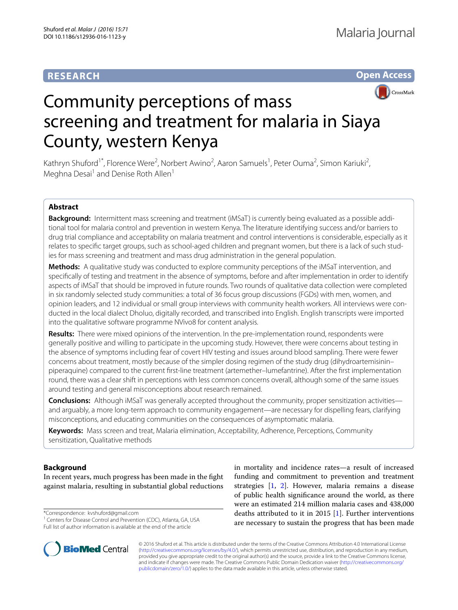# **RESEARCH**

**Open Access**



# Community perceptions of mass screening and treatment for malaria in Siaya County, western Kenya

Kathryn Shuford<sup>1\*</sup>, Florence Were<sup>2</sup>, Norbert Awino<sup>2</sup>, Aaron Samuels<sup>1</sup>, Peter Ouma<sup>2</sup>, Simon Kariuki<sup>2</sup>, Meghna Desai<sup>1</sup> and Denise Roth Allen<sup>1</sup>

# **Abstract**

**Background:** Intermittent mass screening and treatment (iMSaT) is currently being evaluated as a possible additional tool for malaria control and prevention in western Kenya. The literature identifying success and/or barriers to drug trial compliance and acceptability on malaria treatment and control interventions is considerable, especially as it relates to specific target groups, such as school-aged children and pregnant women, but there is a lack of such studies for mass screening and treatment and mass drug administration in the general population.

**Methods:** A qualitative study was conducted to explore community perceptions of the iMSaT intervention, and specifically of testing and treatment in the absence of symptoms, before and after implementation in order to identify aspects of iMSaT that should be improved in future rounds. Two rounds of qualitative data collection were completed in six randomly selected study communities: a total of 36 focus group discussions (FGDs) with men, women, and opinion leaders, and 12 individual or small group interviews with community health workers. All interviews were conducted in the local dialect Dholuo, digitally recorded, and transcribed into English. English transcripts were imported into the qualitative software programme NVivo8 for content analysis.

**Results:** There were mixed opinions of the intervention. In the pre-implementation round, respondents were generally positive and willing to participate in the upcoming study. However, there were concerns about testing in the absence of symptoms including fear of covert HIV testing and issues around blood sampling. There were fewer concerns about treatment, mostly because of the simpler dosing regimen of the study drug (dihydroartemisinin– piperaquine) compared to the current first-line treatment (artemether–lumefantrine). After the first implementation round, there was a clear shift in perceptions with less common concerns overall, although some of the same issues around testing and general misconceptions about research remained.

**Conclusions:** Although iMSaT was generally accepted throughout the community, proper sensitization activities and arguably, a more long-term approach to community engagement—are necessary for dispelling fears, clarifying misconceptions, and educating communities on the consequences of asymptomatic malaria.

**Keywords:** Mass screen and treat, Malaria elimination, Acceptability, Adherence, Perceptions, Community sensitization, Qualitative methods

# **Background**

In recent years, much progress has been made in the fight against malaria, resulting in substantial global reductions

\*Correspondence: kvshuford@gmail.com

<sup>1</sup> Centers for Disease Control and Prevention (CDC), Atlanta, GA, USA Full list of author information is available at the end of the article

in mortality and incidence rates—a result of increased funding and commitment to prevention and treatment strategies [\[1](#page-11-0), [2\]](#page-11-1). However, malaria remains a disease of public health significance around the world, as there were an estimated 214 million malaria cases and 438,000 deaths attributed to it in 20[1](#page-11-0)5  $[1]$ . Further interventions are necessary to sustain the progress that has been made



© 2016 Shuford et al. This article is distributed under the terms of the Creative Commons Attribution 4.0 International License [\(http://creativecommons.org/licenses/by/4.0/\)](http://creativecommons.org/licenses/by/4.0/), which permits unrestricted use, distribution, and reproduction in any medium, provided you give appropriate credit to the original author(s) and the source, provide a link to the Creative Commons license, and indicate if changes were made. The Creative Commons Public Domain Dedication waiver ([http://creativecommons.org/](http://creativecommons.org/publicdomain/zero/1.0/) [publicdomain/zero/1.0/](http://creativecommons.org/publicdomain/zero/1.0/)) applies to the data made available in this article, unless otherwise stated.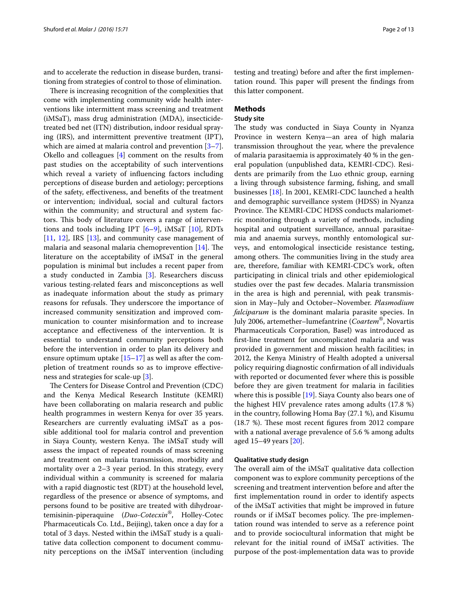and to accelerate the reduction in disease burden, transitioning from strategies of control to those of elimination.

There is increasing recognition of the complexities that come with implementing community wide health interventions like intermittent mass screening and treatment (iMSaT), mass drug administration (MDA), insecticidetreated bed net (ITN) distribution, indoor residual spraying (IRS), and intermittent preventive treatment (IPT), which are aimed at malaria control and prevention [\[3](#page-11-2)[–7](#page-12-0)]. Okello and colleagues [[4\]](#page-11-3) comment on the results from past studies on the acceptability of such interventions which reveal a variety of influencing factors including perceptions of disease burden and aetiology; perceptions of the safety, effectiveness, and benefits of the treatment or intervention; individual, social and cultural factors within the community; and structural and system factors. This body of literature covers a range of interventions and tools including IPT  $[6-9]$  $[6-9]$  $[6-9]$ , iMSaT  $[10]$  $[10]$  $[10]$ , RDTs [[11,](#page-12-3) [12](#page-12-4)], IRS [\[13\]](#page-12-5), and community case management of malaria and seasonal malaria chemoprevention [\[14\]](#page-12-6). The literature on the acceptability of iMSaT in the general population is minimal but includes a recent paper from a study conducted in Zambia [[3](#page-11-2)]. Researchers discuss various testing-related fears and misconceptions as well as inadequate information about the study as primary reasons for refusals. They underscore the importance of increased community sensitization and improved communication to counter misinformation and to increase acceptance and effectiveness of the intervention. It is essential to understand community perceptions both before the intervention in order to plan its delivery and ensure optimum uptake [\[15](#page-12-7)[–17\]](#page-12-8) as well as after the completion of treatment rounds so as to improve effectiveness and strategies for scale-up [[3\]](#page-11-2).

The Centers for Disease Control and Prevention (CDC) and the Kenya Medical Research Institute (KEMRI) have been collaborating on malaria research and public health programmes in western Kenya for over 35 years. Researchers are currently evaluating iMSaT as a possible additional tool for malaria control and prevention in Siaya County, western Kenya. The iMSaT study will assess the impact of repeated rounds of mass screening and treatment on malaria transmission, morbidity and mortality over a 2–3 year period. In this strategy, every individual within a community is screened for malaria with a rapid diagnostic test (RDT) at the household level, regardless of the presence or absence of symptoms, and persons found to be positive are treated with dihydroartemisinin-piperaquine (*Duo*-*Cotecxin*®, Holley-Cotec Pharmaceuticals Co. Ltd., Beijing), taken once a day for a total of 3 days. Nested within the iMSaT study is a qualitative data collection component to document community perceptions on the iMSaT intervention (including

testing and treating) before and after the first implementation round. This paper will present the findings from this latter component.

## **Methods**

## **Study site**

The study was conducted in Siaya County in Nyanza Province in western Kenya—an area of high malaria transmission throughout the year, where the prevalence of malaria parasitaemia is approximately 40 % in the general population (unpublished data, KEMRI-CDC). Residents are primarily from the Luo ethnic group, earning a living through subsistence farming, fishing, and small businesses [\[18](#page-12-9)]. In 2001, KEMRI-CDC launched a health and demographic surveillance system (HDSS) in Nyanza Province. The KEMRI-CDC HDSS conducts malariometric monitoring through a variety of methods, including hospital and outpatient surveillance, annual parasitaemia and anaemia surveys, monthly entomological surveys, and entomological insecticide resistance testing, among others. The communities living in the study area are, therefore, familiar with KEMRI-CDC's work, often participating in clinical trials and other epidemiological studies over the past few decades. Malaria transmission in the area is high and perennial, with peak transmission in May–July and October–November. *Plasmodium falciparum* is the dominant malaria parasite species. In July 2006, artemether–lumefantrine (*Coartem*®, Novartis Pharmaceuticals Corporation, Basel) was introduced as first-line treatment for uncomplicated malaria and was provided in government and mission health facilities; in 2012, the Kenya Ministry of Health adopted a universal policy requiring diagnostic confirmation of all individuals with reported or documented fever where this is possible before they are given treatment for malaria in facilities where this is possible [[19\]](#page-12-10). Siaya County also bears one of the highest HIV prevalence rates among adults (17.8 %) in the country, following Homa Bay (27.1 %), and Kisumu (18.7 %). These most recent figures from 2012 compare with a national average prevalence of 5.6 % among adults aged 15–49 years [[20](#page-12-11)].

## **Qualitative study design**

The overall aim of the iMSaT qualitative data collection component was to explore community perceptions of the screening and treatment intervention before and after the first implementation round in order to identify aspects of the iMSaT activities that might be improved in future rounds or if iMSaT becomes policy. The pre-implementation round was intended to serve as a reference point and to provide sociocultural information that might be relevant for the initial round of iMSaT activities. The purpose of the post-implementation data was to provide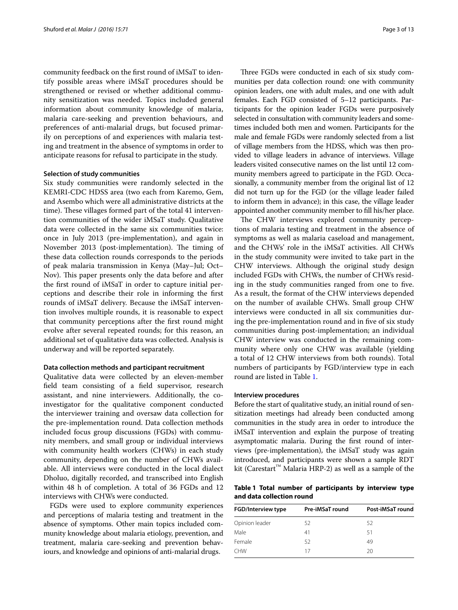community feedback on the first round of iMSaT to identify possible areas where iMSaT procedures should be strengthened or revised or whether additional community sensitization was needed. Topics included general information about community knowledge of malaria, malaria care-seeking and prevention behaviours, and preferences of anti-malarial drugs, but focused primarily on perceptions of and experiences with malaria testing and treatment in the absence of symptoms in order to anticipate reasons for refusal to participate in the study.

#### **Selection of study communities**

Six study communities were randomly selected in the KEMRI-CDC HDSS area (two each from Karemo, Gem, and Asembo which were all administrative districts at the time). These villages formed part of the total 41 intervention communities of the wider iMSaT study. Qualitative data were collected in the same six communities twice: once in July 2013 (pre-implementation), and again in November 2013 (post-implementation). The timing of these data collection rounds corresponds to the periods of peak malaria transmission in Kenya (May–Jul; Oct– Nov). This paper presents only the data before and after the first round of iMSaT in order to capture initial perceptions and describe their role in informing the first rounds of iMSaT delivery. Because the iMSaT intervention involves multiple rounds, it is reasonable to expect that community perceptions after the first round might evolve after several repeated rounds; for this reason, an additional set of qualitative data was collected. Analysis is underway and will be reported separately.

## **Data collection methods and participant recruitment**

Qualitative data were collected by an eleven-member field team consisting of a field supervisor, research assistant, and nine interviewers. Additionally, the coinvestigator for the qualitative component conducted the interviewer training and oversaw data collection for the pre-implementation round. Data collection methods included focus group discussions (FGDs) with community members, and small group or individual interviews with community health workers (CHWs) in each study community, depending on the number of CHWs available. All interviews were conducted in the local dialect Dholuo, digitally recorded, and transcribed into English within 48 h of completion. A total of 36 FGDs and 12 interviews with CHWs were conducted.

FGDs were used to explore community experiences and perceptions of malaria testing and treatment in the absence of symptoms. Other main topics included community knowledge about malaria etiology, prevention, and treatment, malaria care-seeking and prevention behaviours, and knowledge and opinions of anti-malarial drugs.

Three FGDs were conducted in each of six study communities per data collection round: one with community opinion leaders, one with adult males, and one with adult females. Each FGD consisted of 5–12 participants. Participants for the opinion leader FGDs were purposively selected in consultation with community leaders and sometimes included both men and women. Participants for the male and female FGDs were randomly selected from a list of village members from the HDSS, which was then provided to village leaders in advance of interviews. Village leaders visited consecutive names on the list until 12 community members agreed to participate in the FGD. Occasionally, a community member from the original list of 12 did not turn up for the FGD (or the village leader failed to inform them in advance); in this case, the village leader appointed another community member to fill his/her place.

The CHW interviews explored community perceptions of malaria testing and treatment in the absence of symptoms as well as malaria caseload and management, and the CHWs' role in the iMSaT activities. All CHWs in the study community were invited to take part in the CHW interviews. Although the original study design included FGDs with CHWs, the number of CHWs residing in the study communities ranged from one to five. As a result, the format of the CHW interviews depended on the number of available CHWs. Small group CHW interviews were conducted in all six communities during the pre-implementation round and in five of six study communities during post-implementation; an individual CHW interview was conducted in the remaining community where only one CHW was available (yielding a total of 12 CHW interviews from both rounds). Total numbers of participants by FGD/interview type in each round are listed in Table [1](#page-2-0).

#### **Interview procedures**

Before the start of qualitative study, an initial round of sensitization meetings had already been conducted among communities in the study area in order to introduce the iMSaT intervention and explain the purpose of treating asymptomatic malaria. During the first round of interviews (pre-implementation), the iMSaT study was again introduced, and participants were shown a sample RDT kit (Carestart<sup>™</sup> Malaria HRP-2) as well as a sample of the

<span id="page-2-0"></span>**Table 1 Total number of participants by interview type and data collection round**

| <b>FGD/Interview type</b> | Pre-iMSaT round | Post-iMSaT round |
|---------------------------|-----------------|------------------|
| Opinion leader            | 52              | 52               |
| Male                      | 41              | 51               |
| Female                    | 52              | 49               |
| <b>CHW</b>                | 17              | 20               |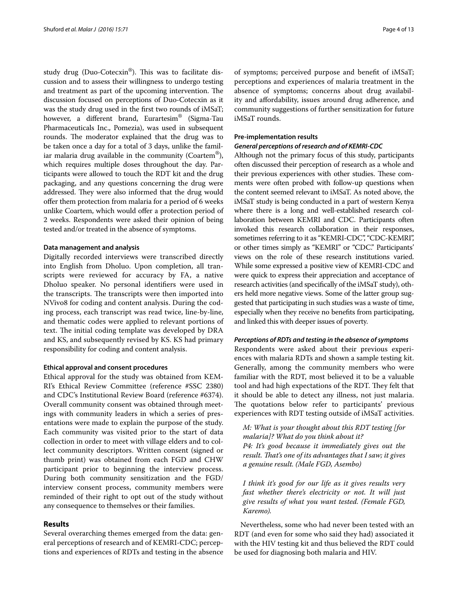study drug (Duo-Cotecxin<sup>®</sup>). This was to facilitate discussion and to assess their willingness to undergo testing and treatment as part of the upcoming intervention. The discussion focused on perceptions of Duo-Cotecxin as it was the study drug used in the first two rounds of iMSaT; however, a different brand, Eurartesim® (Sigma-Tau Pharmaceuticals Inc., Pomezia), was used in subsequent rounds. The moderator explained that the drug was to be taken once a day for a total of 3 days, unlike the familiar malaria drug available in the community (Coartem<sup>®</sup>), which requires multiple doses throughout the day. Participants were allowed to touch the RDT kit and the drug packaging, and any questions concerning the drug were addressed. They were also informed that the drug would offer them protection from malaria for a period of 6 weeks unlike Coartem, which would offer a protection period of 2 weeks. Respondents were asked their opinion of being tested and/or treated in the absence of symptoms.

#### **Data management and analysis**

Digitally recorded interviews were transcribed directly into English from Dholuo. Upon completion, all transcripts were reviewed for accuracy by FA, a native Dholuo speaker. No personal identifiers were used in the transcripts. The transcripts were then imported into NVivo8 for coding and content analysis. During the coding process, each transcript was read twice, line-by-line, and thematic codes were applied to relevant portions of text. The initial coding template was developed by DRA and KS, and subsequently revised by KS. KS had primary responsibility for coding and content analysis.

#### **Ethical approval and consent procedures**

Ethical approval for the study was obtained from KEM-RI's Ethical Review Committee (reference #SSC 2380) and CDC's Institutional Review Board (reference #6374). Overall community consent was obtained through meetings with community leaders in which a series of presentations were made to explain the purpose of the study. Each community was visited prior to the start of data collection in order to meet with village elders and to collect community descriptors. Written consent (signed or thumb print) was obtained from each FGD and CHW participant prior to beginning the interview process. During both community sensitization and the FGD/ interview consent process, community members were reminded of their right to opt out of the study without any consequence to themselves or their families.

## **Results**

Several overarching themes emerged from the data: general perceptions of research and of KEMRI-CDC; perceptions and experiences of RDTs and testing in the absence

of symptoms; perceived purpose and benefit of iMSaT; perceptions and experiences of malaria treatment in the absence of symptoms; concerns about drug availability and affordability, issues around drug adherence, and community suggestions of further sensitization for future iMSaT rounds.

## **Pre-implementation results**

## *General perceptions of research and of KEMRI‑CDC*

Although not the primary focus of this study, participants often discussed their perception of research as a whole and their previous experiences with other studies. These comments were often probed with follow-up questions when the content seemed relevant to iMSaT. As noted above, the iMSaT study is being conducted in a part of western Kenya where there is a long and well-established research collaboration between KEMRI and CDC. Participants often invoked this research collaboration in their responses, sometimes referring to it as "KEMRI-CDC", "CDC-KEMRI", or other times simply as "KEMRI" or "CDC." Participants' views on the role of these research institutions varied. While some expressed a positive view of KEMRI-CDC and were quick to express their appreciation and acceptance of research activities (and specifically of the iMSaT study), others held more negative views. Some of the latter group suggested that participating in such studies was a waste of time, especially when they receive no benefits from participating, and linked this with deeper issues of poverty.

### *Perceptions of RDTs and testing in the absence of symptoms*

Respondents were asked about their previous experiences with malaria RDTs and shown a sample testing kit. Generally, among the community members who were familiar with the RDT, most believed it to be a valuable tool and had high expectations of the RDT. They felt that it should be able to detect any illness, not just malaria. The quotations below refer to participants' previous experiences with RDT testing outside of iMSaT activities.

*M: What is your thought about this RDT testing [for malaria]? What do you think about it? P4: It's good because it immediately gives out the result. That's one of its advantages that I saw; it gives a genuine result. (Male FGD, Asembo)*

*I think it's good for our life as it gives results very fast whether there's electricity or not. It will just give results of what you want tested. (Female FGD, Karemo).*

Nevertheless, some who had never been tested with an RDT (and even for some who said they had) associated it with the HIV testing kit and thus believed the RDT could be used for diagnosing both malaria and HIV.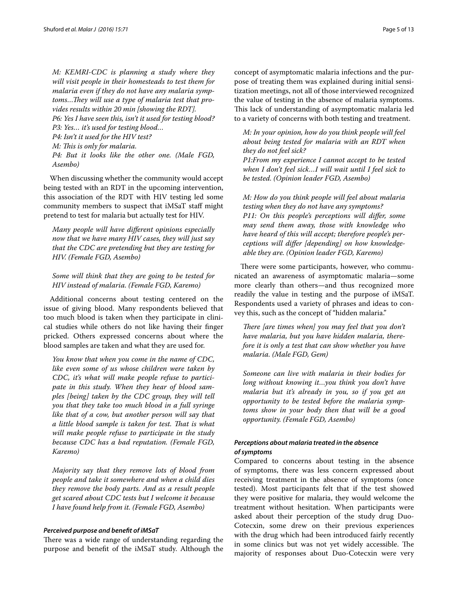*Asembo)*

*M: KEMRI-CDC is planning a study where they will visit people in their homesteads to test them for malaria even if they do not have any malaria symptoms…They will use a type of malaria test that provides results within 20 min [showing the RDT]. P6: Yes I have seen this, isn't it used for testing blood? P3: Yes… it's used for testing blood… P4: Isn't it used for the HIV test? M: This is only for malaria. P4: But it looks like the other one. (Male FGD,* 

When discussing whether the community would accept being tested with an RDT in the upcoming intervention, this association of the RDT with HIV testing led some community members to suspect that iMSaT staff might pretend to test for malaria but actually test for HIV.

*Many people will have different opinions especially now that we have many HIV cases, they will just say that the CDC are pretending but they are testing for HIV. (Female FGD, Asembo)*

## *Some will think that they are going to be tested for HIV instead of malaria. (Female FGD, Karemo)*

Additional concerns about testing centered on the issue of giving blood. Many respondents believed that too much blood is taken when they participate in clinical studies while others do not like having their finger pricked. Others expressed concerns about where the blood samples are taken and what they are used for.

*You know that when you come in the name of CDC, like even some of us whose children were taken by CDC, it's what will make people refuse to participate in this study. When they hear of blood samples [being] taken by the CDC group, they will tell you that they take too much blood in a full syringe like that of a cow, but another person will say that a little blood sample is taken for test. That is what will make people refuse to participate in the study because CDC has a bad reputation. (Female FGD, Karemo)*

*Majority say that they remove lots of blood from people and take it somewhere and when a child dies they remove the body parts. And as a result people get scared about CDC tests but I welcome it because I have found help from it. (Female FGD, Asembo)*

#### *Perceived purpose and benefit of iMSaT*

There was a wide range of understanding regarding the purpose and benefit of the iMSaT study. Although the concept of asymptomatic malaria infections and the purpose of treating them was explained during initial sensitization meetings, not all of those interviewed recognized the value of testing in the absence of malaria symptoms. This lack of understanding of asymptomatic malaria led to a variety of concerns with both testing and treatment.

*M: In your opinion, how do you think people will feel about being tested for malaria with an RDT when they do not feel sick?*

*P1:From my experience I cannot accept to be tested when I don't feel sick…I will wait until I feel sick to be tested. (Opinion leader FGD, Asembo)* 

*M: How do you think people will feel about malaria testing when they do not have any symptoms? P11: On this people's perceptions will differ, some may send them away, those with knowledge who have heard of this will accept; therefore people's perceptions will differ [depending] on how knowledgeable they are. (Opinion leader FGD, Karemo)*

There were some participants, however, who communicated an awareness of asymptomatic malaria—some more clearly than others—and thus recognized more readily the value in testing and the purpose of iMSaT. Respondents used a variety of phrases and ideas to convey this, such as the concept of "hidden malaria."

*There [are times when] you may feel that you don't have malaria, but you have hidden malaria, therefore it is only a test that can show whether you have malaria. (Male FGD, Gem)*

*Someone can live with malaria in their bodies for long without knowing it…you think you don't have malaria but it's already in you, so if you get an opportunity to be tested before the malaria symptoms show in your body then that will be a good opportunity. (Female FGD, Asembo)*

## *Perceptions about malaria treated in the absence of symptoms*

Compared to concerns about testing in the absence of symptoms, there was less concern expressed about receiving treatment in the absence of symptoms (once tested). Most participants felt that if the test showed they were positive for malaria, they would welcome the treatment without hesitation. When participants were asked about their perception of the study drug Duo-Cotecxin, some drew on their previous experiences with the drug which had been introduced fairly recently in some clinics but was not yet widely accessible. The majority of responses about Duo-Cotecxin were very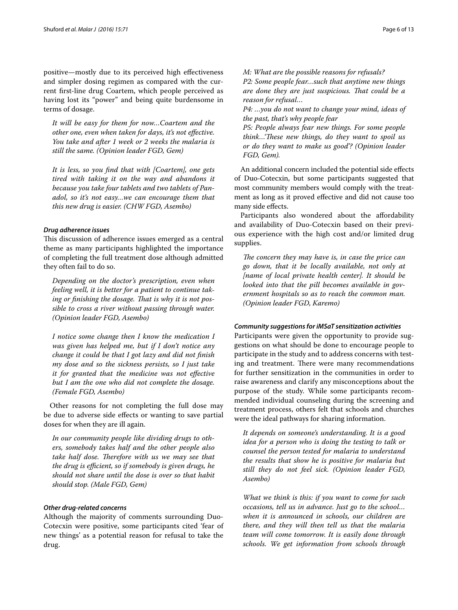positive—mostly due to its perceived high effectiveness and simpler dosing regimen as compared with the current first-line drug Coartem, which people perceived as having lost its "power" and being quite burdensome in terms of dosage.

*It will be easy for them for now…Coartem and the other one, even when taken for days, it's not effective. You take and after 1 week or 2 weeks the malaria is still the same. (Opinion leader FGD, Gem)*

*It is less, so you find that with [Coartem], one gets tired with taking it on the way and abandons it because you take four tablets and two tablets of Panadol, so it's not easy…we can encourage them that this new drug is easier. (CHW FGD, Asembo)*

## *Drug adherence issues*

This discussion of adherence issues emerged as a central theme as many participants highlighted the importance of completing the full treatment dose although admitted they often fail to do so.

*Depending on the doctor's prescription, even when feeling well, it is better for a patient to continue taking or finishing the dosage. That is why it is not possible to cross a river without passing through water. (Opinion leader FGD, Asembo)*

*I notice some change then I know the medication I was given has helped me, but if I don't notice any change it could be that I got lazy and did not finish my dose and so the sickness persists, so I just take it for granted that the medicine was not effective but I am the one who did not complete the dosage. (Female FGD, Asembo)*

Other reasons for not completing the full dose may be due to adverse side effects or wanting to save partial doses for when they are ill again.

*In our community people like dividing drugs to others, somebody takes half and the other people also take half dose. Therefore with us we may see that the drug is efficient, so if somebody is given drugs, he should not share until the dose is over so that habit should stop. (Male FGD, Gem)*

## *Other drug‑related concerns*

Although the majority of comments surrounding Duo-Cotecxin were positive, some participants cited 'fear of new things' as a potential reason for refusal to take the drug.

*M: What are the possible reasons for refusals? P2: Some people fear…such that anytime new things are done they are just suspicious. That could be a reason for refusal…*

*P4: …you do not want to change your mind, ideas of the past, that's why people fear*

*P5: People always fear new things. For some people think…'These new things, do they want to spoil us or do they want to make us good'? (Opinion leader FGD, Gem).*

An additional concern included the potential side effects of Duo-Cotecxin, but some participants suggested that most community members would comply with the treatment as long as it proved effective and did not cause too many side effects.

Participants also wondered about the affordability and availability of Duo-Cotecxin based on their previous experience with the high cost and/or limited drug supplies.

*The concern they may have is, in case the price can go down, that it be locally available, not only at [name of local private health center]. It should be looked into that the pill becomes available in government hospitals so as to reach the common man. (Opinion leader FGD, Karemo)*

#### *Community suggestions for iMSaT sensitization activities*

Participants were given the opportunity to provide suggestions on what should be done to encourage people to participate in the study and to address concerns with testing and treatment. There were many recommendations for further sensitization in the communities in order to raise awareness and clarify any misconceptions about the purpose of the study. While some participants recommended individual counseling during the screening and treatment process, others felt that schools and churches were the ideal pathways for sharing information.

*It depends on someone's understanding. It is a good idea for a person who is doing the testing to talk or counsel the person tested for malaria to understand the results that show he is positive for malaria but still they do not feel sick. (Opinion leader FGD, Asembo)*

*What we think is this: if you want to come for such occasions, tell us in advance. Just go to the school… when it is announced in schools, our children are there, and they will then tell us that the malaria team will come tomorrow. It is easily done through schools. We get information from schools through*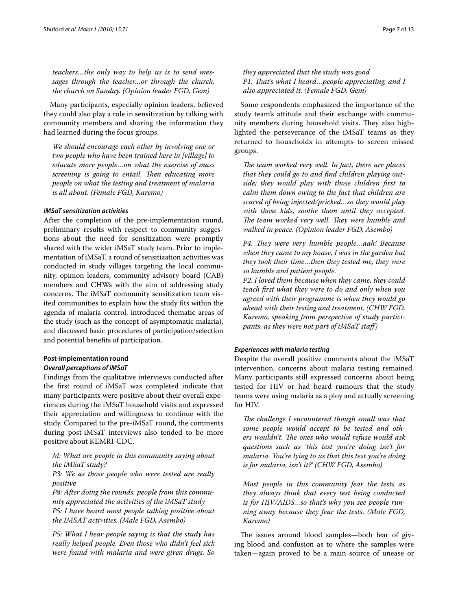*teachers…the only way to help us is to send messages through the teacher…or through the church, the church on Sunday. (Opinion leader FGD, Gem)*

Many participants, especially opinion leaders, believed they could also play a role in sensitization by talking with community members and sharing the information they had learned during the focus groups.

*We should encourage each other by involving one or two people who have been trained here in [village] to educate more people…on what the exercise of mass screening is going to entail. Then educating more people on what the testing and treatment of malaria is all about. (Female FGD, Karemo)*

## *iMSaT sensitization activities*

After the completion of the pre-implementation round, preliminary results with respect to community suggestions about the need for sensitization were promptly shared with the wider iMSaT study team. Prior to implementation of iMSaT, a round of sensitization activities was conducted in study villages targeting the local community, opinion leaders, community advisory board (CAB) members and CHWs with the aim of addressing study concerns. The iMSaT community sensitization team visited communities to explain how the study fits within the agenda of malaria control, introduced thematic areas of the study (such as the concept of asymptomatic malaria), and discussed basic procedures of participation/selection and potential benefits of participation.

## **Post-implementation round** *Overall perceptions of iMSaT*

Findings from the qualitative interviews conducted after the first round of iMSaT was completed indicate that many participants were positive about their overall experiences during the iMSaT household visits and expressed their appreciation and willingness to continue with the study. Compared to the pre-iMSaT round, the comments during post-iMSaT interviews also tended to be more positive about KEMRI-CDC.

*M: What are people in this community saying about the iMSaT study?*

*P3: We as those people who were tested are really positive*

*P8: After doing the rounds, people from this community appreciated the activities of the iMSaT study P5: I have heard most people talking positive about the IMSAT activities. (Male FGD, Asembo)* 

*P5: What I hear people saying is that the study has really helped people. Even those who didn't feel sick were found with malaria and were given drugs. So* 

*they appreciated that the study was good P1: That's what I heard…people appreciating, and I also appreciated it. (Female FGD, Gem)*

Some respondents emphasized the importance of the study team's attitude and their exchange with community members during household visits. They also highlighted the perseverance of the iMSaT teams as they returned to households in attempts to screen missed groups.

*The team worked very well. In fact, there are places that they could go to and find children playing outside; they would play with those children first to calm them down owing to the fact that children are scared of being injected/pricked…so they would play with those kids, soothe them until they accepted. The team worked very well. They were humble and walked in peace. (Opinion leader FGD, Asembo)*

*P4: They were very humble people…aah! Because when they came to my house, I was in the garden but they took their time…then they tested me, they were so humble and patient people.*

*P2: I loved them because when they came, they could teach first what they were to do and only when you agreed with their programme is when they would go ahead with their testing and treatment. (CHW FGD, Karemo, speaking from perspective of study participants, as they were not part of iMSaT staff)*

## *Experiences with malaria testing*

Despite the overall positive comments about the iMSaT intervention, concerns about malaria testing remained. Many participants still expressed concerns about being tested for HIV or had heard rumours that the study teams were using malaria as a ploy and actually screening for HIV.

*The challenge I encountered though small was that some people would accept to be tested and others wouldn't. The ones who would refuse would ask questions such as 'this test you're doing isn't for malaria. You're lying to us that this test you're doing is for malaria, isn't it?' (CHW FGD, Asembo)*

*Most people in this community fear the tests as they always think that every test being conducted is for HIV/AIDS…so that's why you see people running away because they fear the tests. (Male FGD, Karemo)*

The issues around blood samples—both fear of giving blood and confusion as to where the samples were taken—again proved to be a main source of unease or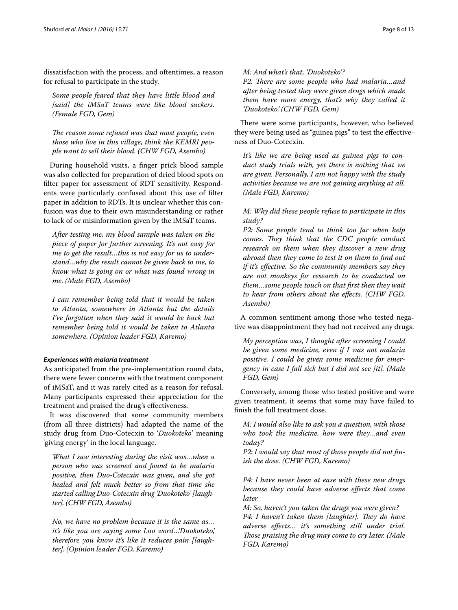dissatisfaction with the process, and oftentimes, a reason for refusal to participate in the study.

*Some people feared that they have little blood and [said] the iMSaT teams were like blood suckers. (Female FGD, Gem)*

*The reason some refused was that most people, even those who live in this village, think the KEMRI people want to sell their blood. (CHW FGD, Asembo)*

During household visits, a finger prick blood sample was also collected for preparation of dried blood spots on filter paper for assessment of RDT sensitivity. Respondents were particularly confused about this use of filter paper in addition to RDTs. It is unclear whether this confusion was due to their own misunderstanding or rather to lack of or misinformation given by the iMSaT teams.

*After testing me, my blood sample was taken on the piece of paper for further screening. It's not easy for me to get the result…this is not easy for us to understand…why the result cannot be given back to me, to know what is going on or what was found wrong in me. (Male FGD, Asembo)*

*I can remember being told that it would be taken to Atlanta, somewhere in Atlanta but the details I've forgotten when they said it would be back but remember being told it would be taken to Atlanta somewhere. (Opinion leader FGD, Karemo)*

## *Experiences with malaria treatment*

As anticipated from the pre-implementation round data, there were fewer concerns with the treatment component of iMSaT, and it was rarely cited as a reason for refusal. Many participants expressed their appreciation for the treatment and praised the drug's effectiveness.

It was discovered that some community members (from all three districts) had adapted the name of the study drug from Duo-Cotecxin to '*Duokoteko*' meaning 'giving energy' in the local language.

*What I saw interesting during the visit was…when a person who was screened and found to be malaria positive, then Duo-Cotecxin was given, and she got healed and felt much better so from that time she started calling Duo-Cotecxin drug 'Duokoteko' [laughter]. (CHW FGD, Asembo)*

*No, we have no problem because it is the same as… it's like you are saying some Luo word…'Duokoteko,' therefore you know it's like it reduces pain [laughter]. (Opinion leader FGD, Karemo)*

*M: And what's that, 'Duokoteko'?*

*P2: There are some people who had malaria…and after being tested they were given drugs which made them have more energy, that's why they called it 'Duokoteko.' (CHW FGD, Gem)*

There were some participants, however, who believed they were being used as "guinea pigs" to test the effectiveness of Duo-Cotecxin.

*It's like we are being used as guinea pigs to conduct study trials with, yet there is nothing that we are given. Personally, I am not happy with the study activities because we are not gaining anything at all. (Male FGD, Karemo)*

*M: Why did these people refuse to participate in this study?*

*P2: Some people tend to think too far when help comes. They think that the CDC people conduct research on them when they discover a new drug abroad then they come to test it on them to find out if it's effective. So the community members say they are not monkeys for research to be conducted on them…some people touch on that first then they wait to hear from others about the effects. (CHW FGD, Asembo)*

A common sentiment among those who tested negative was disappointment they had not received any drugs.

*My perception was, I thought after screening I could be given some medicine, even if I was not malaria positive. I could be given some medicine for emergency in case I fall sick but I did not see [it]. (Male FGD, Gem)*

Conversely, among those who tested positive and were given treatment, it seems that some may have failed to finish the full treatment dose.

*M: I would also like to ask you a question, with those who took the medicine, how were they…and even today?*

*P2: I would say that most of those people did not finish the dose. (CHW FGD, Karemo)*

*P4: I have never been at ease with these new drugs because they could have adverse effects that come later*

*M: So, haven't you taken the drugs you were given? P4: I haven't taken them [laughter]. They do have adverse effects… it's something still under trial. Those praising the drug may come to cry later. (Male FGD, Karemo)*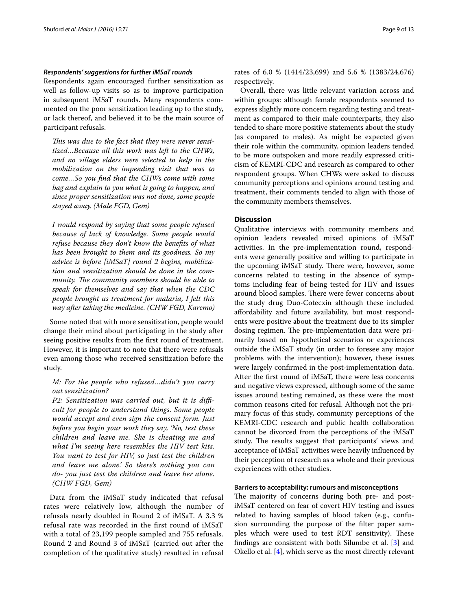#### *Respondents' suggestions for further iMSaT rounds*

Respondents again encouraged further sensitization as well as follow-up visits so as to improve participation in subsequent iMSaT rounds. Many respondents commented on the poor sensitization leading up to the study, or lack thereof, and believed it to be the main source of participant refusals.

*This was due to the fact that they were never sensitized…Because all this work was left to the CHWs, and no village elders were selected to help in the mobilization on the impending visit that was to come…So you find that the CHWs come with some bag and explain to you what is going to happen, and since proper sensitization was not done, some people stayed away. (Male FGD, Gem)*

*I would respond by saying that some people refused because of lack of knowledge. Some people would refuse because they don't know the benefits of what has been brought to them and its goodness. So my advice is before [iMSaT] round 2 begins, mobilization and sensitization should be done in the community. The community members should be able to speak for themselves and say that when the CDC people brought us treatment for malaria, I felt this way after taking the medicine. (CHW FGD, Karemo)*

Some noted that with more sensitization, people would change their mind about participating in the study after seeing positive results from the first round of treatment. However, it is important to note that there were refusals even among those who received sensitization before the study.

## *M: For the people who refused…didn't you carry out sensitization?*

*P2: Sensitization was carried out, but it is difficult for people to understand things. Some people would accept and even sign the consent form. Just before you begin your work they say, 'No, test these children and leave me. She is cheating me and what I'm seeing here resembles the HIV test kits. You want to test for HIV, so just test the children and leave me alone.' So there's nothing you can do- you just test the children and leave her alone. (CHW FGD, Gem)*

Data from the iMSaT study indicated that refusal rates were relatively low, although the number of refusals nearly doubled in Round 2 of iMSaT. A 3.3 % refusal rate was recorded in the first round of iMSaT with a total of 23,199 people sampled and 755 refusals. Round 2 and Round 3 of iMSaT (carried out after the completion of the qualitative study) resulted in refusal rates of 6.0 % (1414/23,699) and 5.6 % (1383/24,676) respectively.

Overall, there was little relevant variation across and within groups: although female respondents seemed to express slightly more concern regarding testing and treatment as compared to their male counterparts, they also tended to share more positive statements about the study (as compared to males). As might be expected given their role within the community, opinion leaders tended to be more outspoken and more readily expressed criticism of KEMRI-CDC and research as compared to other respondent groups. When CHWs were asked to discuss community perceptions and opinions around testing and treatment, their comments tended to align with those of the community members themselves.

## **Discussion**

Qualitative interviews with community members and opinion leaders revealed mixed opinions of iMSaT activities. In the pre-implementation round, respondents were generally positive and willing to participate in the upcoming iMSaT study. There were, however, some concerns related to testing in the absence of symptoms including fear of being tested for HIV and issues around blood samples. There were fewer concerns about the study drug Duo-Cotecxin although these included affordability and future availability, but most respondents were positive about the treatment due to its simpler dosing regimen. The pre-implementation data were primarily based on hypothetical scenarios or experiences outside the iMSaT study (in order to foresee any major problems with the intervention); however, these issues were largely confirmed in the post-implementation data. After the first round of iMSaT, there were less concerns and negative views expressed, although some of the same issues around testing remained, as these were the most common reasons cited for refusal. Although not the primary focus of this study, community perceptions of the KEMRI-CDC research and public health collaboration cannot be divorced from the perceptions of the iMSaT study. The results suggest that participants' views and acceptance of iMSaT activities were heavily influenced by their perception of research as a whole and their previous experiences with other studies.

## **Barriers to acceptability: rumours and misconceptions**

The majority of concerns during both pre- and postiMSaT centered on fear of covert HIV testing and issues related to having samples of blood taken (e.g., confusion surrounding the purpose of the filter paper samples which were used to test RDT sensitivity). These findings are consistent with both Silumbe et al. [[3\]](#page-11-2) and Okello et al. [\[4](#page-11-3)], which serve as the most directly relevant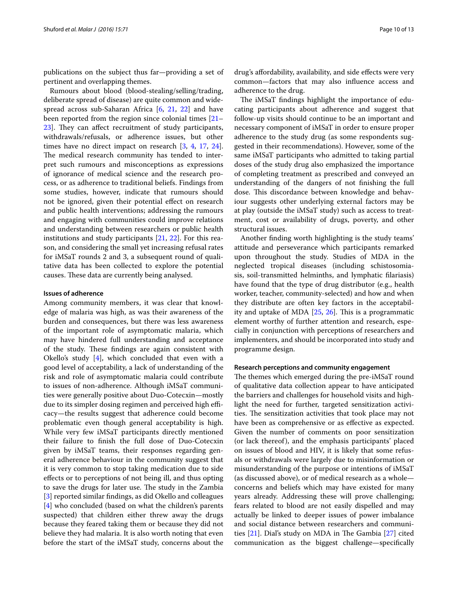publications on the subject thus far—providing a set of pertinent and overlapping themes.

Rumours about blood (blood-stealing/selling/trading, deliberate spread of disease) are quite common and widespread across sub-Saharan Africa [\[6](#page-11-4), [21,](#page-12-12) [22](#page-12-13)] and have been reported from the region since colonial times [[21–](#page-12-12) [23\]](#page-12-14). They can affect recruitment of study participants, withdrawals/refusals, or adherence issues, but other times have no direct impact on research [[3,](#page-11-2) [4,](#page-11-3) [17](#page-12-8), [24](#page-12-15)]. The medical research community has tended to interpret such rumours and misconceptions as expressions of ignorance of medical science and the research process, or as adherence to traditional beliefs. Findings from some studies, however, indicate that rumours should not be ignored, given their potential effect on research and public health interventions; addressing the rumours and engaging with communities could improve relations and understanding between researchers or public health institutions and study participants [\[21](#page-12-12), [22](#page-12-13)]. For this reason, and considering the small yet increasing refusal rates for iMSaT rounds 2 and 3, a subsequent round of qualitative data has been collected to explore the potential causes. These data are currently being analysed.

## **Issues of adherence**

Among community members, it was clear that knowledge of malaria was high, as was their awareness of the burden and consequences, but there was less awareness of the important role of asymptomatic malaria, which may have hindered full understanding and acceptance of the study. These findings are again consistent with Okello's study [\[4](#page-11-3)], which concluded that even with a good level of acceptability, a lack of understanding of the risk and role of asymptomatic malaria could contribute to issues of non-adherence. Although iMSaT communities were generally positive about Duo-Cotecxin—mostly due to its simpler dosing regimen and perceived high efficacy—the results suggest that adherence could become problematic even though general acceptability is high. While very few iMSaT participants directly mentioned their failure to finish the full dose of Duo-Cotecxin given by iMSaT teams, their responses regarding general adherence behaviour in the community suggest that it is very common to stop taking medication due to side effects or to perceptions of not being ill, and thus opting to save the drugs for later use. The study in the Zambia [[3\]](#page-11-2) reported similar findings, as did Okello and colleagues [[4\]](#page-11-3) who concluded (based on what the children's parents suspected) that children either threw away the drugs because they feared taking them or because they did not believe they had malaria. It is also worth noting that even before the start of the iMSaT study, concerns about the

drug's affordability, availability, and side effects were very common—factors that may also influence access and adherence to the drug.

The iMSaT findings highlight the importance of educating participants about adherence and suggest that follow-up visits should continue to be an important and necessary component of iMSaT in order to ensure proper adherence to the study drug (as some respondents suggested in their recommendations). However, some of the same iMSaT participants who admitted to taking partial doses of the study drug also emphasized the importance of completing treatment as prescribed and conveyed an understanding of the dangers of not finishing the full dose. This discordance between knowledge and behaviour suggests other underlying external factors may be at play (outside the iMSaT study) such as access to treatment, cost or availability of drugs, poverty, and other structural issues.

Another finding worth highlighting is the study teams' attitude and perseverance which participants remarked upon throughout the study. Studies of MDA in the neglected tropical diseases (including schistosomiasis, soil-transmitted helminths, and lymphatic filariasis) have found that the type of drug distributor (e.g., health worker, teacher, community-selected) and how and when they distribute are often key factors in the acceptability and uptake of MDA [\[25](#page-12-16), [26\]](#page-12-17). This is a programmatic element worthy of further attention and research, especially in conjunction with perceptions of researchers and implementers, and should be incorporated into study and programme design.

#### **Research perceptions and community engagement**

The themes which emerged during the pre-iMSaT round of qualitative data collection appear to have anticipated the barriers and challenges for household visits and highlight the need for further, targeted sensitization activities. The sensitization activities that took place may not have been as comprehensive or as effective as expected. Given the number of comments on poor sensitization (or lack thereof), and the emphasis participants' placed on issues of blood and HIV, it is likely that some refusals or withdrawals were largely due to misinformation or misunderstanding of the purpose or intentions of iMSaT (as discussed above), or of medical research as a whole concerns and beliefs which may have existed for many years already. Addressing these will prove challenging; fears related to blood are not easily dispelled and may actually be linked to deeper issues of power imbalance and social distance between researchers and communities [\[21](#page-12-12)]. Dial's study on MDA in The Gambia [\[27](#page-12-18)] cited communication as the biggest challenge—specifically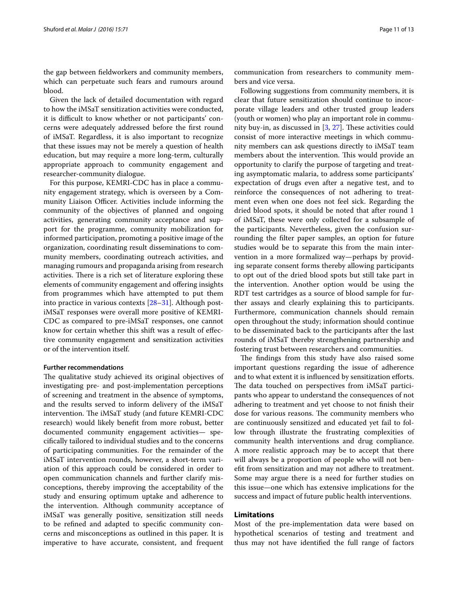the gap between fieldworkers and community members, which can perpetuate such fears and rumours around blood.

Given the lack of detailed documentation with regard to how the iMSaT sensitization activities were conducted, it is difficult to know whether or not participants' concerns were adequately addressed before the first round of iMSaT. Regardless, it is also important to recognize that these issues may not be merely a question of health education, but may require a more long-term, culturally appropriate approach to community engagement and researcher-community dialogue.

For this purpose, KEMRI-CDC has in place a community engagement strategy, which is overseen by a Community Liaison Officer. Activities include informing the community of the objectives of planned and ongoing activities, generating community acceptance and support for the programme, community mobilization for informed participation, promoting a positive image of the organization, coordinating result disseminations to community members, coordinating outreach activities, and managing rumours and propaganda arising from research activities. There is a rich set of literature exploring these elements of community engagement and offering insights from programmes which have attempted to put them into practice in various contexts [[28](#page-12-19)[–31](#page-12-20)]. Although postiMSaT responses were overall more positive of KEMRI-CDC as compared to pre-iMSaT responses, one cannot know for certain whether this shift was a result of effective community engagement and sensitization activities or of the intervention itself.

## **Further recommendations**

The qualitative study achieved its original objectives of investigating pre- and post-implementation perceptions of screening and treatment in the absence of symptoms, and the results served to inform delivery of the iMSaT intervention. The iMSaT study (and future KEMRI-CDC research) would likely benefit from more robust, better documented community engagement activities— specifically tailored to individual studies and to the concerns of participating communities. For the remainder of the iMSaT intervention rounds, however, a short-term variation of this approach could be considered in order to open communication channels and further clarify misconceptions, thereby improving the acceptability of the study and ensuring optimum uptake and adherence to the intervention. Although community acceptance of iMSaT was generally positive, sensitization still needs to be refined and adapted to specific community concerns and misconceptions as outlined in this paper. It is imperative to have accurate, consistent, and frequent

communication from researchers to community members and vice versa.

Following suggestions from community members, it is clear that future sensitization should continue to incorporate village leaders and other trusted group leaders (youth or women) who play an important role in community buy-in, as discussed in [\[3](#page-11-2), [27](#page-12-18)]. These activities could consist of more interactive meetings in which community members can ask questions directly to iMSaT team members about the intervention. This would provide an opportunity to clarify the purpose of targeting and treating asymptomatic malaria, to address some participants' expectation of drugs even after a negative test, and to reinforce the consequences of not adhering to treatment even when one does not feel sick. Regarding the dried blood spots, it should be noted that after round 1 of iMSaT, these were only collected for a subsample of the participants. Nevertheless, given the confusion surrounding the filter paper samples, an option for future studies would be to separate this from the main intervention in a more formalized way—perhaps by providing separate consent forms thereby allowing participants to opt out of the dried blood spots but still take part in the intervention. Another option would be using the RDT test cartridges as a source of blood sample for further assays and clearly explaining this to participants. Furthermore, communication channels should remain open throughout the study; information should continue to be disseminated back to the participants after the last rounds of iMSaT thereby strengthening partnership and fostering trust between researchers and communities.

The findings from this study have also raised some important questions regarding the issue of adherence and to what extent it is influenced by sensitization efforts. The data touched on perspectives from iMSaT participants who appear to understand the consequences of not adhering to treatment and yet choose to not finish their dose for various reasons. The community members who are continuously sensitized and educated yet fail to follow through illustrate the frustrating complexities of community health interventions and drug compliance. A more realistic approach may be to accept that there will always be a proportion of people who will not benefit from sensitization and may not adhere to treatment. Some may argue there is a need for further studies on this issue—one which has extensive implications for the success and impact of future public health interventions.

## **Limitations**

Most of the pre-implementation data were based on hypothetical scenarios of testing and treatment and thus may not have identified the full range of factors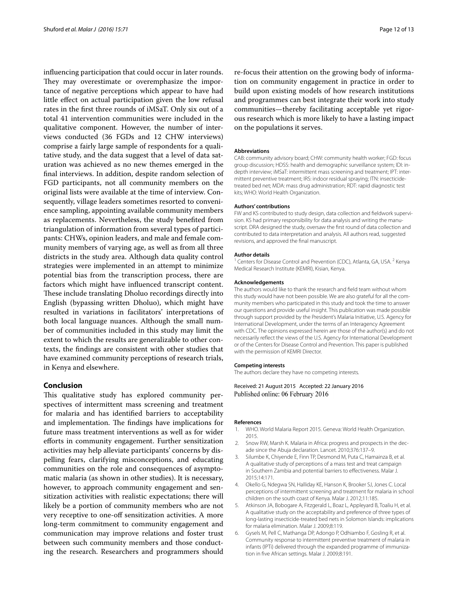influencing participation that could occur in later rounds. They may overestimate or overemphasize the importance of negative perceptions which appear to have had little effect on actual participation given the low refusal rates in the first three rounds of iMSaT. Only six out of a total 41 intervention communities were included in the qualitative component. However, the number of interviews conducted (36 FGDs and 12 CHW interviews) comprise a fairly large sample of respondents for a qualitative study, and the data suggest that a level of data saturation was achieved as no new themes emerged in the final interviews. In addition, despite random selection of FGD participants, not all community members on the original lists were available at the time of interview. Consequently, village leaders sometimes resorted to convenience sampling, appointing available community members as replacements. Nevertheless, the study benefited from triangulation of information from several types of participants: CHWs, opinion leaders, and male and female community members of varying age, as well as from all three districts in the study area. Although data quality control strategies were implemented in an attempt to minimize potential bias from the transcription process, there are factors which might have influenced transcript content. These include translating Dholuo recordings directly into English (bypassing written Dholuo), which might have resulted in variations in facilitators' interpretations of both local language nuances. Although the small number of communities included in this study may limit the extent to which the results are generalizable to other contexts, the findings are consistent with other studies that have examined community perceptions of research trials, in Kenya and elsewhere.

#### **Conclusion**

This qualitative study has explored community perspectives of intermittent mass screening and treatment for malaria and has identified barriers to acceptability and implementation. The findings have implications for future mass treatment interventions as well as for wider efforts in community engagement. Further sensitization activities may help alleviate participants' concerns by dispelling fears, clarifying misconceptions, and educating communities on the role and consequences of asymptomatic malaria (as shown in other studies). It is necessary, however, to approach community engagement and sensitization activities with realistic expectations; there will likely be a portion of community members who are not very receptive to one-off sensitization activities. A more long-term commitment to community engagement and communication may improve relations and foster trust between such community members and those conducting the research. Researchers and programmers should

re-focus their attention on the growing body of information on community engagement in practice in order to build upon existing models of how research institutions and programmes can best integrate their work into study communities—thereby facilitating acceptable yet rigorous research which is more likely to have a lasting impact on the populations it serves.

#### **Abbreviations**

CAB: community advisory board; CHW: community health worker; FGD: focus group discussion; HDSS: health and demographic surveillance system; IDI: indepth interview; iMSaT: intermittent mass screening and treatment; IPT: intermittent preventive treatment; IRS: indoor residual spraying; ITN: insecticidetreated bed net; MDA: mass drug administration; RDT: rapid diagnostic test kits; WHO: World Health Organization.

#### **Authors' contributions**

FW and KS contributed to study design, data collection and fieldwork supervision. KS had primary responsibility for data analysis and writing the manuscript. DRA designed the study, oversaw the first round of data collection and contributed to data interpretation and analysis. All authors read, suggested revisions, and approved the final manuscript.

#### **Author details**

<sup>1</sup> Centers for Disease Control and Prevention (CDC), Atlanta, GA, USA. <sup>2</sup> Kenya Medical Research Institute (KEMRI), Kisian, Kenya.

#### **Acknowledgements**

The authors would like to thank the research and field team without whom this study would have not been possible. We are also grateful for all the community members who participated in this study and took the time to answer our questions and provide useful insight. This publication was made possible through support provided by the President's Malaria Initiative, U.S. Agency for International Development, under the terms of an Interagency Agreement with CDC. The opinions expressed herein are those of the author(s) and do not necessarily reflect the views of the U.S. Agency for International Development or of the Centers for Disease Control and Prevention. This paper is published with the permission of KEMRI Director.

#### **Competing interests**

The authors declare they have no competing interests.

Received: 21 August 2015 Accepted: 22 January 2016 Published online: 06 February 2016

#### **References**

- <span id="page-11-0"></span>1. WHO. World Malaria Report 2015. Geneva: World Health Organization. 2015.
- <span id="page-11-1"></span>2. Snow RW, Marsh K. Malaria in Africa: progress and prospects in the decade since the Abuja declaration. Lancet. 2010;376:137–9.
- <span id="page-11-2"></span>3. Silumbe K, Chiyende E, Finn TP, Desmond M, Puta C, Hamainza B, et al. A qualitative study of perceptions of a mass test and treat campaign in Southern Zambia and potential barriers to effectiveness. Malar J. 2015;14:171.
- <span id="page-11-3"></span>4. Okello G, Ndegwa SN, Halliday KE, Hanson K, Brooker SJ, Jones C. Local perceptions of intermittent screening and treatment for malaria in school children on the south coast of Kenya. Malar J. 2012;11:185.
- 5. Atkinson JA, Bobogare A, Fitzgerald L, Boaz L, Appleyard B, Toaliu H, et al. A qualitative study on the acceptability and preference of three types of long-lasting insecticide-treated bed nets in Solomon Islands: implications for malaria elimination. Malar J. 2009;8:119.
- <span id="page-11-4"></span>6. Gysels M, Pell C, Mathanga DP, Adongo P, Odhiambo F, Gosling R, et al. Community response to intermittent preventive treatment of malaria in infants (IPTi) delivered through the expanded programme of immunization in five African settings. Malar J. 2009;8:191.